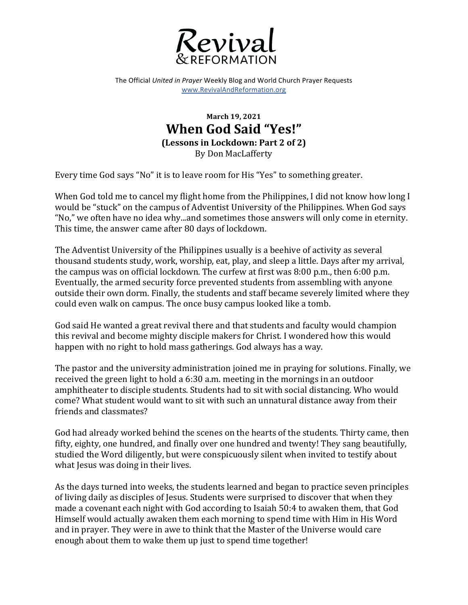

The Official *United in Prayer* Weekly Blog and World Church Prayer Requests www.RevivalAndReformation.org

## **March 19, 2021 When God Said "Yes!" (Lessons in Lockdown: Part 2 of 2)** By Don MacLafferty

Every time God says "No" it is to leave room for His "Yes" to something greater.

When God told me to cancel my flight home from the Philippines, I did not know how long I would be "stuck" on the campus of Adventist University of the Philippines. When God says "No," we often have no idea why...and sometimes those answers will only come in eternity. This time, the answer came after 80 days of lockdown.

The Adventist University of the Philippines usually is a beehive of activity as several thousand students study, work, worship, eat, play, and sleep a little. Days after my arrival, the campus was on official lockdown. The curfew at first was  $8:00$  p.m., then  $6:00$  p.m. Eventually, the armed security force prevented students from assembling with anyone outside their own dorm. Finally, the students and staff became severely limited where they could even walk on campus. The once busy campus looked like a tomb.

God said He wanted a great revival there and that students and faculty would champion this revival and become mighty disciple makers for Christ. I wondered how this would happen with no right to hold mass gatherings. God always has a way.

The pastor and the university administration joined me in praying for solutions. Finally, we received the green light to hold a  $6:30$  a.m. meeting in the mornings in an outdoor amphitheater to disciple students. Students had to sit with social distancing. Who would come? What student would want to sit with such an unnatural distance away from their friends and classmates?

God had already worked behind the scenes on the hearts of the students. Thirty came, then fifty, eighty, one hundred, and finally over one hundred and twenty! They sang beautifully, studied the Word diligently, but were conspicuously silent when invited to testify about what Jesus was doing in their lives.

As the days turned into weeks, the students learned and began to practice seven principles of living daily as disciples of Jesus. Students were surprised to discover that when they made a covenant each night with God according to Isaiah 50:4 to awaken them, that God Himself would actually awaken them each morning to spend time with Him in His Word and in prayer. They were in awe to think that the Master of the Universe would care enough about them to wake them up just to spend time together!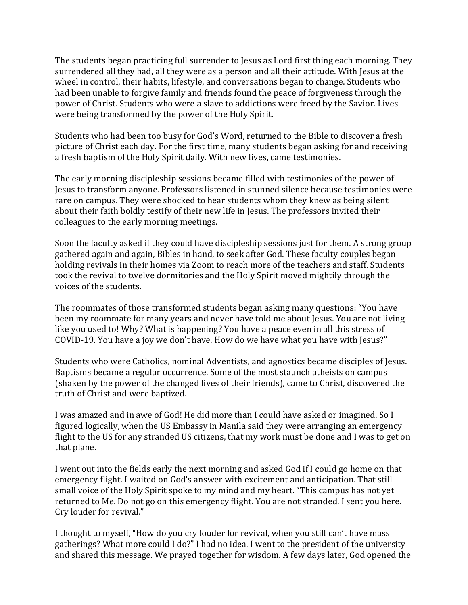The students began practicing full surrender to Jesus as Lord first thing each morning. They surrendered all they had, all they were as a person and all their attitude. With Jesus at the wheel in control, their habits, lifestyle, and conversations began to change. Students who had been unable to forgive family and friends found the peace of forgiveness through the power of Christ. Students who were a slave to addictions were freed by the Savior. Lives were being transformed by the power of the Holy Spirit.

Students who had been too busy for God's Word, returned to the Bible to discover a fresh picture of Christ each day. For the first time, many students began asking for and receiving a fresh baptism of the Holy Spirit daily. With new lives, came testimonies.

The early morning discipleship sessions became filled with testimonies of the power of Jesus to transform anyone. Professors listened in stunned silence because testimonies were rare on campus. They were shocked to hear students whom they knew as being silent about their faith boldly testify of their new life in Jesus. The professors invited their colleagues to the early morning meetings.

Soon the faculty asked if they could have discipleship sessions just for them. A strong group gathered again and again, Bibles in hand, to seek after God. These faculty couples began holding revivals in their homes via Zoom to reach more of the teachers and staff. Students took the revival to twelve dormitories and the Holy Spirit moved mightily through the voices of the students.

The roommates of those transformed students began asking many questions: "You have been my roommate for many years and never have told me about Jesus. You are not living like you used to! Why? What is happening? You have a peace even in all this stress of COVID-19. You have a joy we don't have. How do we have what you have with Jesus?"

Students who were Catholics, nominal Adventists, and agnostics became disciples of Jesus. Baptisms became a regular occurrence. Some of the most staunch atheists on campus (shaken by the power of the changed lives of their friends), came to Christ, discovered the truth of Christ and were baptized.

I was amazed and in awe of God! He did more than I could have asked or imagined. So I figured logically, when the US Embassy in Manila said they were arranging an emergency flight to the US for any stranded US citizens, that my work must be done and I was to get on that plane.

I went out into the fields early the next morning and asked God if I could go home on that emergency flight. I waited on God's answer with excitement and anticipation. That still small voice of the Holy Spirit spoke to my mind and my heart. "This campus has not yet returned to Me. Do not go on this emergency flight. You are not stranded. I sent you here. Cry louder for revival."

I thought to myself, "How do you cry louder for revival, when you still can't have mass gatherings? What more could I do?" I had no idea. I went to the president of the university and shared this message. We prayed together for wisdom. A few days later, God opened the